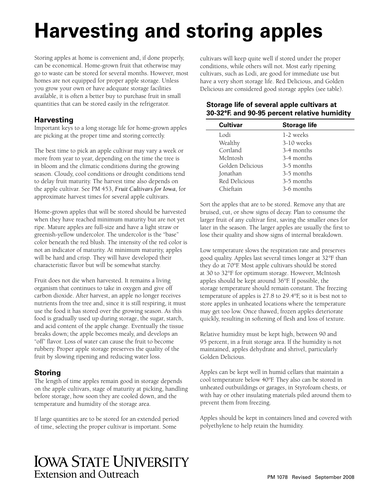# **Harvesting and storing apples**

Storing apples at home is convenient and, if done properly, can be economical. Home-grown fruit that otherwise may go to waste can be stored for several months. However, most homes are not equipped for proper apple storage. Unless you grow your own or have adequate storage facilities available, it is often a better buy to purchase fruit in small quantities that can be stored easily in the refrigerator.

# **Harvesting**

Important keys to a long storage life for home-grown apples are picking at the proper time and storing correctly.

The best time to pick an apple cultivar may vary a week or more from year to year, depending on the time the tree is in bloom and the climatic conditions during the growing season. Cloudy, cool conditions or drought conditions tend to delay fruit maturity. The harvest time also depends on the apple cultivar. See PM 453, *Fruit Cultivars for Iowa*, for approximate harvest times for several apple cultivars.

Home-grown apples that will be stored should be harvested when they have reached minimum maturity but are not yet ripe. Mature apples are full-size and have a light straw or greenish-yellow undercolor. The undercolor is the "base" color beneath the red blush. The intensity of the red color is not an indicator of maturity. At minimum maturity, apples will be hard and crisp. They will have developed their characteristic flavor but will be somewhat starchy.

Fruit does not die when harvested. It remains a living organism that continues to take in oxygen and give off carbon dioxide. After harvest, an apple no longer receives nutrients from the tree and, since it is still respiring, it must use the food it has stored over the growing season. As this food is gradually used up during storage, the sugar, starch, and acid content of the apple change. Eventually the tissue breaks down; the apple becomes mealy, and develops an "off" flavor. Loss of water can cause the fruit to become rubbery. Proper apple storage preserves the quality of the fruit by slowing ripening and reducing water loss.

# **Storing**

The length of time apples remain good in storage depends on the apple cultivars, stage of maturity at picking, handling before storage, how soon they are cooled down, and the temperature and humidity of the storage area.

If large quantities are to be stored for an extended period of time, selecting the proper cultivar is important. Some

cultivars will keep quite well if stored under the proper conditions, while others will not. Most early ripening cultivars, such as Lodi, are good for immediate use but have a very short storage life. Red Delicious, and Golden Delicious are considered good storage apples (see table).

|             | Storage life of several apple cultivars at<br>30-32°F. and 90-95 percent relative humidity |
|-------------|--------------------------------------------------------------------------------------------|
| $C_{\rm H}$ | Storogo lifo                                                                               |

| <b>Cultivar</b>  | <b>Storage life</b> |  |
|------------------|---------------------|--|
| Lodi             | 1-2 weeks           |  |
| Wealthy          | 3-10 weeks          |  |
| Cortland         | 3-4 months          |  |
| McIntosh         | 3-4 months          |  |
| Golden Delicious | 3-5 months          |  |
| Jonathan         | 3-5 months          |  |
| Red Delicious    | 3-5 months          |  |
| Chieftain        | 3-6 months          |  |

Sort the apples that are to be stored. Remove any that are bruised, cut, or show signs of decay. Plan to consume the larger fruit of any cultivar first, saving the smaller ones for later in the season. The larger apples are usually the first to lose their quality and show signs of internal breakdown.

Low temperature slows the respiration rate and preserves good quality. Apples last several times longer at 32°F than they do at 70°F. Most apple cultivars should be stored at 30 to 32°F for optimum storage. However, McIntosh apples should be kept around 36°F. If possible, the storage temperature should remain constant. The freezing temperature of apples is 27.8 to 29.4°F, so it is best not to store apples in unheated locations where the temperature may get too low. Once thawed, frozen apples deteriorate quickly, resulting in softening of flesh and loss of texture.

Relative humidity must be kept high, between 90 and 95 percent, in a fruit storage area. If the humidity is not maintained, apples dehydrate and shrivel, particularly Golden Delicious.

Apples can be kept well in humid cellars that maintain a cool temperature below 40°F. They also can be stored in unheated outbuildings or garages, in Styrofoam chests, or with hay or other insulating materials piled around them to prevent them from freezing.

Apples should be kept in containers lined and covered with polyethylene to help retain the humidity.

# **IOWA STATE UNIVERSITY Extension and Outreach**